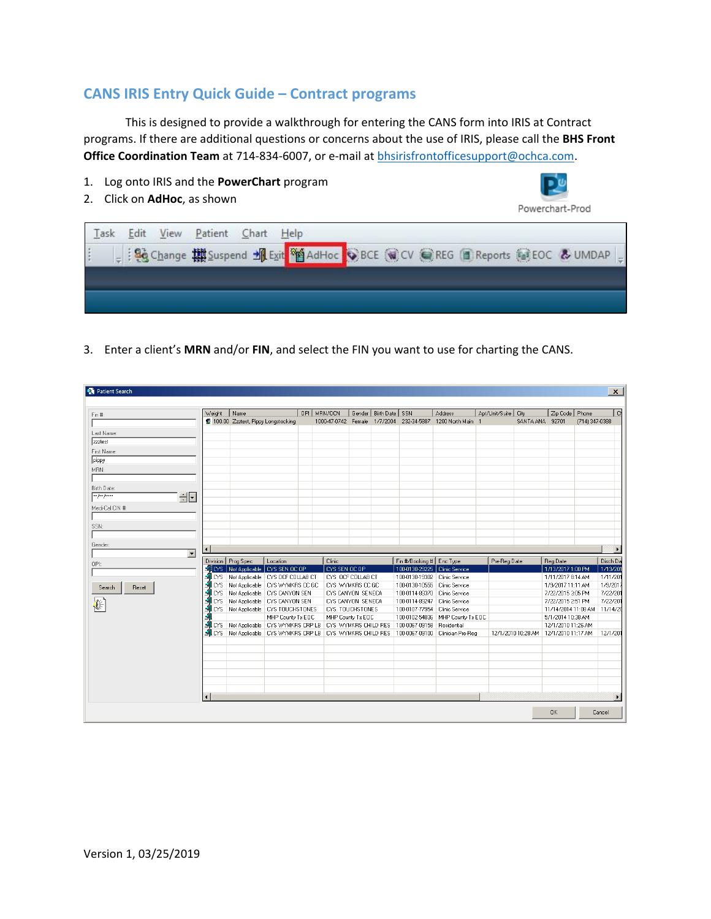## **CANS IRIS Entry Quick Guide – Contract programs**

This is designed to provide a walkthrough for entering the CANS form into IRIS at Contract programs. If there are additional questions or concerns about the use of IRIS, please call the **BHS Front**  Office Coordination Team at 714-834-6007, or e-mail at **bhsirisfrontofficesupport@ochca.com**.

- 1. Log onto IRIS and the **PowerChart** program
- 2. Click on **AdHoc**, as shown



3. Enter a client's **MRN** and/or **FIN**, and select the FIN you want to use for charting the CANS.

| <b>D</b> Patient Search      |                    |                                                                |                   |                         |                           |                            |                                                                                                     |                |                                         |                               |                | $\vert x \vert$      |
|------------------------------|--------------------|----------------------------------------------------------------|-------------------|-------------------------|---------------------------|----------------------------|-----------------------------------------------------------------------------------------------------|----------------|-----------------------------------------|-------------------------------|----------------|----------------------|
|                              | Weight             | Name                                                           |                   | OPI MRN/OCN             | Gender   Birth Date   SSN |                            | Address                                                                                             | Apt/Unit/Suite | City                                    | Zip Code   Phone              |                | $\Box$               |
| Fin #:                       |                    | 100.00 Zzztest, Pippy Longstocking                             |                   |                         |                           |                            | 1000-47-0742 Female 1/7/2004 232-34-5887 1200 North Main 1                                          |                | SANTA ANA                               | 92701                         | (714) 347-0388 |                      |
|                              |                    |                                                                |                   |                         |                           |                            |                                                                                                     |                |                                         |                               |                |                      |
| Last Name:                   |                    |                                                                |                   |                         |                           |                            |                                                                                                     |                |                                         |                               |                |                      |
| zzztest                      |                    |                                                                |                   |                         |                           |                            |                                                                                                     |                |                                         |                               |                |                      |
| First Name:                  |                    |                                                                |                   |                         |                           |                            |                                                                                                     |                |                                         |                               |                |                      |
| pippy                        |                    |                                                                |                   |                         |                           |                            |                                                                                                     |                |                                         |                               |                |                      |
| MBN:                         |                    |                                                                |                   |                         |                           |                            |                                                                                                     |                |                                         |                               |                |                      |
|                              |                    |                                                                |                   |                         |                           |                            |                                                                                                     |                |                                         |                               |                |                      |
| Birth Date:                  |                    |                                                                |                   |                         |                           |                            |                                                                                                     |                |                                         |                               |                |                      |
| <b>REAR AND ARREST</b><br>클리 |                    |                                                                |                   |                         |                           |                            |                                                                                                     |                |                                         |                               |                |                      |
| Medi-Cal CIN #:              |                    |                                                                |                   |                         |                           |                            |                                                                                                     |                |                                         |                               |                |                      |
|                              |                    |                                                                |                   |                         |                           |                            |                                                                                                     |                |                                         |                               |                |                      |
|                              |                    |                                                                |                   |                         |                           |                            |                                                                                                     |                |                                         |                               |                |                      |
| SSN:                         |                    |                                                                |                   |                         |                           |                            |                                                                                                     |                |                                         |                               |                |                      |
|                              |                    |                                                                |                   |                         |                           |                            |                                                                                                     |                |                                         |                               |                |                      |
| Gender:                      | $\blacksquare$     |                                                                |                   |                         |                           |                            |                                                                                                     |                |                                         |                               |                |                      |
| $\overline{\phantom{a}}$     |                    |                                                                |                   |                         |                           |                            |                                                                                                     |                |                                         |                               |                |                      |
| OPI:                         |                    | Division   Prog Spec<br>SLOYS   Not Applicable   CYS SEN OC OP | Location          | Clinic<br>CYS SEN OC OP |                           | Fin #/Booking #   Enc Type | 100-0130-29225 Clinic Service                                                                       | Pre-Reg Date   |                                         | Reg Date<br>1/13/2017 1:00 PM |                | Disch Da<br>1/13/201 |
|                              |                    | NICYS Not Applicable CYS OCF COLLAB CT                         |                   | CYS OCF COLLAB CT       |                           |                            | 100-0130-19302 Clinic Service                                                                       |                |                                         | 1/11/2017 8:14 AM             |                | 1/11/20              |
|                              |                    | <b>ALCYS</b> Not Applicable CYS WYMKRS CC GC                   |                   | CYS WYMKRS CC GC        |                           |                            | 100-0130-10555 Clinic Service                                                                       |                |                                         | 1/9/2017 11:11 AM             |                | 1/9/201              |
| Reset<br>Search              | $\blacksquare$ LYS | Not Applicable CYS CANYON SEN                                  |                   | CYS CANYON SENECA       |                           |                            | 100-0114-89370   Clinic Service                                                                     |                |                                         | 7/22/2015 3:05 PM             |                | 7/22/20              |
|                              | $\blacksquare$ CYS | Not Applicable   CYS CANYON SEN                                |                   | CYS CANYON SENECA       |                           |                            | 100-0114-89247 Clinic Service                                                                       |                |                                         | 7/22/2015 2:51 PM             |                | 7/22/201             |
|                              |                    | <b>ALCYS</b> Not Applicable CYS TOUCHSTONES                    |                   | CYS TOUCHSTONES         |                           |                            | 100-0107-77954 Clinic Service                                                                       |                |                                         | 11/14/2014 11:08 AM 11/14/20  |                |                      |
|                              |                    |                                                                | MHP County Tx EOC | MHP County Tx EOC       |                           |                            | 100-0102-54836 MHP County Tx EOC                                                                    |                |                                         | 5/1/2014 10:38 AM             |                |                      |
|                              |                    | SILCYS Not Applicable CYS WYMKRS CRP LB CYS WYMKRS CHILD RES   |                   |                         |                           | 100-0067-09158 Residential |                                                                                                     |                |                                         | 12/1/2010 11:26 AM            |                |                      |
|                              |                    |                                                                |                   |                         |                           |                            | MCYS Not Applicable   CYS WYMKRS CRP LB   CYS WYMKRS CHILD RES   100-0067-09100   Clinician Pre-Reg |                | 12/1/2010 10:28 AM   12/1/2010 11:17 AM |                               |                | 12/1/201             |
|                              |                    |                                                                |                   |                         |                           |                            |                                                                                                     |                |                                         |                               |                |                      |
|                              |                    |                                                                |                   |                         |                           |                            |                                                                                                     |                |                                         |                               |                |                      |
|                              |                    |                                                                |                   |                         |                           |                            |                                                                                                     |                |                                         |                               |                |                      |
|                              |                    |                                                                |                   |                         |                           |                            |                                                                                                     |                |                                         |                               |                |                      |
|                              |                    |                                                                |                   |                         |                           |                            |                                                                                                     |                |                                         |                               |                |                      |
|                              |                    |                                                                |                   |                         |                           |                            |                                                                                                     |                |                                         |                               |                |                      |
|                              | $\blacksquare$     |                                                                |                   |                         |                           |                            |                                                                                                     |                |                                         |                               |                |                      |
|                              |                    |                                                                |                   |                         |                           |                            |                                                                                                     |                |                                         |                               |                |                      |
|                              |                    |                                                                |                   |                         |                           |                            |                                                                                                     |                |                                         | 0K                            |                | Cancel               |
|                              |                    |                                                                |                   |                         |                           |                            |                                                                                                     |                |                                         |                               |                |                      |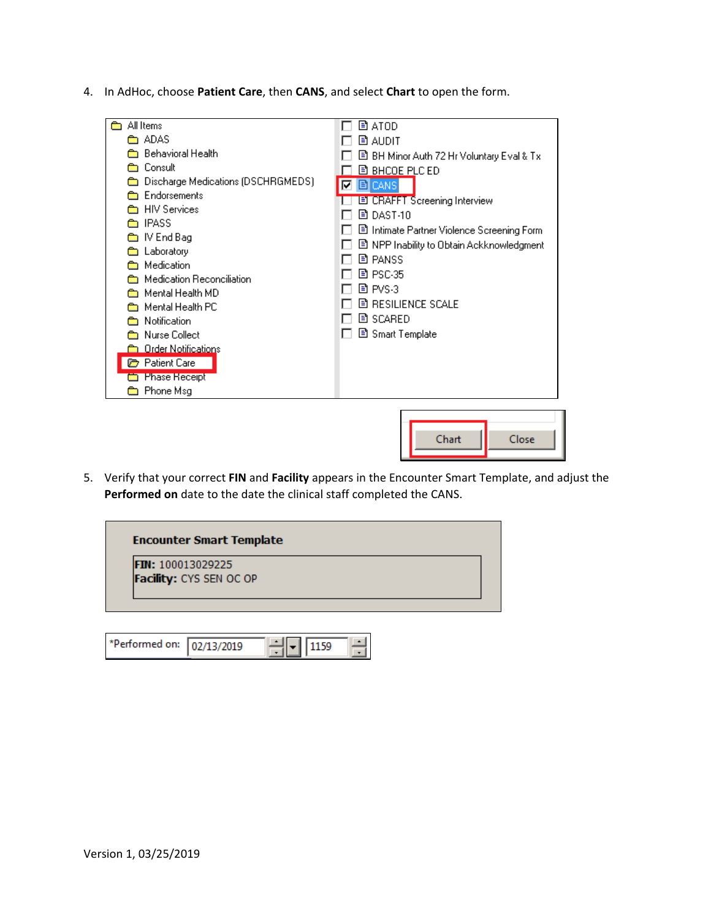4. In AdHoc, choose **Patient Care**, then **CANS**, and select **Chart** to open the form.



5. Verify that your correct **FIN** and **Facility** appears in the Encounter Smart Template, and adjust the **Performed on** date to the date the clinical staff completed the CANS.



| *Performed on: 02/13/2019 |  |  |  |
|---------------------------|--|--|--|
|---------------------------|--|--|--|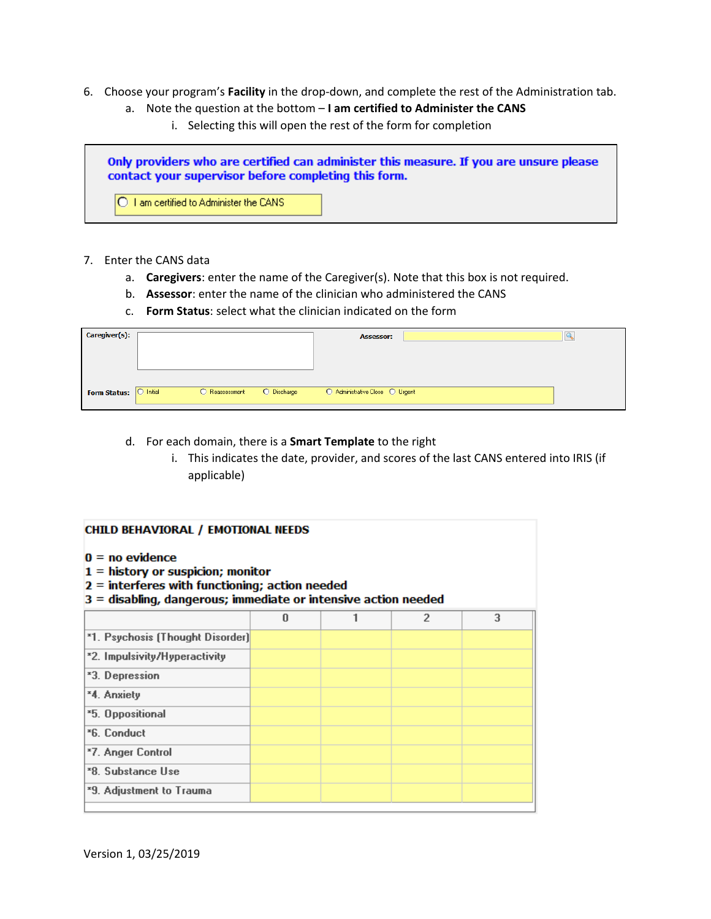- 6. Choose your program's **Facility** in the drop-down, and complete the rest of the Administration tab.
	- a. Note the question at the bottom **I am certified to Administer the CANS**
		- i. Selecting this will open the rest of the form for completion



## 7. Enter the CANS data

- a. **Caregivers**: enter the name of the Caregiver(s). Note that this box is not required.
- b. **Assessor**: enter the name of the clinician who administered the CANS
- c. **Form Status**: select what the clinician indicated on the form

| Caregiver(s):       |                        |                |             | <b>Assessor:</b>                |  |
|---------------------|------------------------|----------------|-------------|---------------------------------|--|
|                     |                        |                |             |                                 |  |
|                     |                        |                |             |                                 |  |
|                     |                        |                |             |                                 |  |
| <b>Form Status:</b> | $\overline{O}$ Initial | O Reassessment | O Discharge | ○ Administrative Close ○ Urgent |  |
|                     |                        |                |             |                                 |  |

- d. For each domain, there is a **Smart Template** to the right
	- i. This indicates the date, provider, and scores of the last CANS entered into IRIS (if applicable)

| <b>CHILD BEHAVIORAL / EMOTIONAL NEEDS</b><br>$0 = no$ evidence<br>$1 =$ history or suspicion; monitor<br>$2$ = interferes with functioning; action needed<br>$3 =$ disabling, dangerous; immediate or intensive action needed |   |  |   |   |  |
|-------------------------------------------------------------------------------------------------------------------------------------------------------------------------------------------------------------------------------|---|--|---|---|--|
|                                                                                                                                                                                                                               | n |  | 2 | 3 |  |
| *1. Psychosis (Thought Disorder)                                                                                                                                                                                              |   |  |   |   |  |
| *2. Impulsivity/Hyperactivity                                                                                                                                                                                                 |   |  |   |   |  |
| *3. Depression                                                                                                                                                                                                                |   |  |   |   |  |
| *4. Anxiety                                                                                                                                                                                                                   |   |  |   |   |  |
| *5. Oppositional                                                                                                                                                                                                              |   |  |   |   |  |
| *6. Conduct                                                                                                                                                                                                                   |   |  |   |   |  |
| *7. Anger Control                                                                                                                                                                                                             |   |  |   |   |  |
| *8. Substance Use                                                                                                                                                                                                             |   |  |   |   |  |
| *9. Adjustment to Trauma                                                                                                                                                                                                      |   |  |   |   |  |